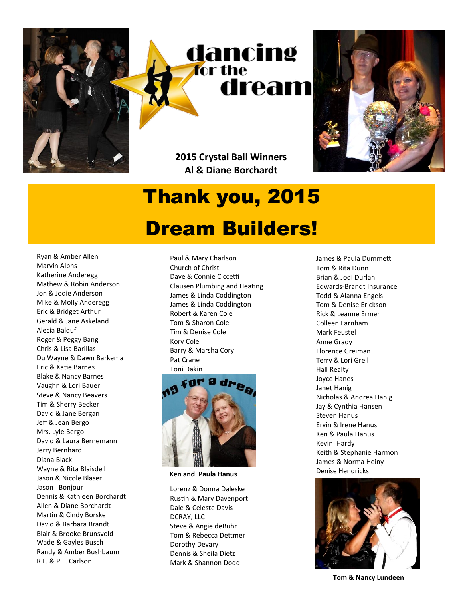

## Thank you, 2015

## Dream Builders!

Ryan & Amber Allen Marvin Alphs Katherine Anderegg Mathew & Robin Anderson Jon & Jodie Anderson Mike & Molly Anderegg Eric & Bridget Arthur Gerald & Jane Askeland Alecia Balduf Roger & Peggy Bang Chris & Lisa Barillas Du Wayne & Dawn Barkema Eric & Katie Barnes Blake & Nancy Barnes Vaughn & Lori Bauer Steve & Nancy Beavers Tim & Sherry Becker David & Jane Bergan Jeff & Jean Bergo Mrs. Lyle Bergo David & Laura Bernemann Jerry Bernhard Diana Black Wayne & Rita Blaisdell Jason & Nicole Blaser Jason Bonjour Dennis & Kathleen Borchardt Allen & Diane Borchardt Martin & Cindy Borske David & Barbara Brandt Blair & Brooke Brunsvold Wade & Gayles Busch Randy & Amber Bushbaum R.L. & P.L. Carlson

Paul & Mary Charlson Church of Christ Dave & Connie Ciccetti Clausen Plumbing and Heating James & Linda Coddington James & Linda Coddington Robert & Karen Cole Tom & Sharon Cole Tim & Denise Cole Kory Cole Barry & Marsha Cory Pat Crane Toni Dakin



**Ken and Paula Hanus**

Lorenz & Donna Daleske Rustin & Mary Davenport Dale & Celeste Davis DCRAY, LLC Steve & Angie deBuhr Tom & Rebecca Dettmer Dorothy Devary Dennis & Sheila Dietz Mark & Shannon Dodd

James & Paula Dummett Tom & Rita Dunn Brian & Jodi Durlan Edwards-Brandt Insurance Todd & Alanna Engels Tom & Denise Erickson Rick & Leanne Ermer Colleen Farnham Mark Feustel Anne Grady Florence Greiman Terry & Lori Grell Hall Realty Joyce Hanes Janet Hanig Nicholas & Andrea Hanig Jay & Cynthia Hansen Steven Hanus Ervin & Irene Hanus Ken & Paula Hanus Kevin Hardy Keith & Stephanie Harmon James & Norma Heiny Denise Hendricks



**Tom & Nancy Lundeen**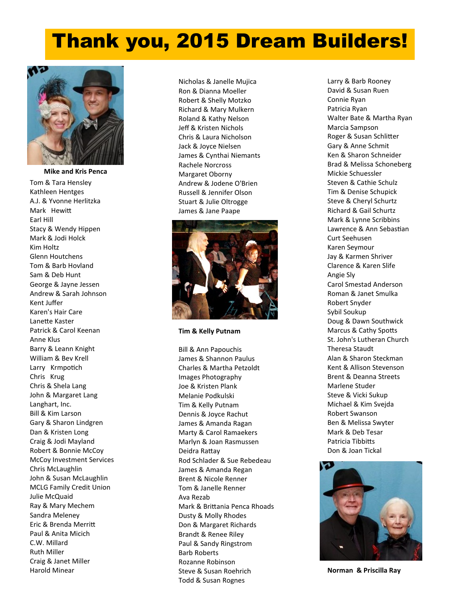## Thank you, 2015 Dream Builders!



Tom & Tara Hensley Kathleen Hentges A.J. & Yvonne Herlitzka Mark Hewitt Earl Hill Stacy & Wendy Hippen Mark & Jodi Holck Kim Holtz Glenn Houtchens Tom & Barb Hovland Sam & Deb Hunt George & Jayne Jessen Andrew & Sarah Johnson Kent Juffer Karen's Hair Care Lanette Kaster Patrick & Carol Keenan Anne Klus Barry & Leann Knight William & Bev Krell Larry Krmpotich Chris Krug Chris & Shela Lang John & Margaret Lang Langhart, Inc. Bill & Kim Larson Gary & Sharon Lindgren Dan & Kristen Long Craig & Jodi Mayland Robert & Bonnie McCoy McCoy Investment Services Chris McLaughlin John & Susan McLaughlin MCLG Family Credit Union Julie McQuaid Ray & Mary Mechem Sandra Meleney Eric & Brenda Merritt Paul & Anita Micich C.W. Millard Ruth Miller Craig & Janet Miller Harold Minear **Mike and Kris Penca**

Nicholas & Janelle Mujica Ron & Dianna Moeller Robert & Shelly Motzko Richard & Mary Mulkern Roland & Kathy Nelson Jeff & Kristen Nichols Chris & Laura Nicholson Jack & Joyce Nielsen James & Cynthai Niemants Rachele Norcross Margaret Oborny Andrew & Jodene O'Brien Russell & Jennifer Olson Stuart & Julie Oltrogge James & Jane Paape



**Tim & Kelly Putnam**

Bill & Ann Papouchis James & Shannon Paulus Charles & Martha Petzoldt Images Photography Joe & Kristen Plank Melanie Podkulski Tim & Kelly Putnam Dennis & Joyce Rachut James & Amanda Ragan Marty & Carol Ramaekers Marlyn & Joan Rasmussen Deidra Rattay Rod Schlader & Sue Rebedeau James & Amanda Regan Brent & Nicole Renner Tom & Janelle Renner Ava Rezab Mark & Brittania Penca Rhoads Dusty & Molly Rhodes Don & Margaret Richards Brandt & Renee Riley Paul & Sandy Ringstrom Barb Roberts Rozanne Robinson Steve & Susan Roehrich Todd & Susan Rognes

Larry & Barb Rooney David & Susan Ruen Connie Ryan Patricia Ryan Walter Bate & Martha Ryan Marcia Sampson Roger & Susan Schlitter Gary & Anne Schmit Ken & Sharon Schneider Brad & Melissa Schoneberg Mickie Schuessler Steven & Cathie Schulz Tim & Denise Schupick Steve & Cheryl Schurtz Richard & Gail Schurtz Mark & Lynne Scribbins Lawrence & Ann Sebastian Curt Seehusen Karen Seymour Jay & Karmen Shriver Clarence & Karen Slife Angie Sly Carol Smestad Anderson Roman & Janet Smulka Robert Snyder Sybil Soukup Doug & Dawn Southwick Marcus & Cathy Spotts St. John's Lutheran Church Theresa Staudt Alan & Sharon Steckman Kent & Allison Stevenson Brent & Deanna Streets Marlene Studer Steve & Vicki Sukup Michael & Kim Svejda Robert Swanson Ben & Melissa Swyter Mark & Deb Tesar Patricia Tibbitts Don & Joan Tickal



**Norman & Priscilla Ray**